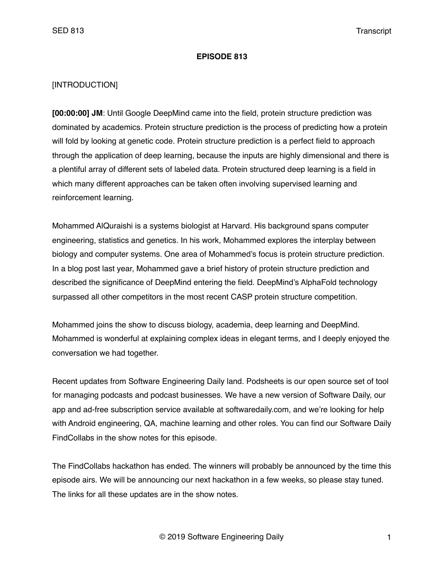#### **EPISODE 813**

### [INTRODUCTION]

**[00:00:00] JM**: Until Google DeepMind came into the field, protein structure prediction was dominated by academics. Protein structure prediction is the process of predicting how a protein will fold by looking at genetic code. Protein structure prediction is a perfect field to approach through the application of deep learning, because the inputs are highly dimensional and there is a plentiful array of different sets of labeled data. Protein structured deep learning is a field in which many different approaches can be taken often involving supervised learning and reinforcement learning.

Mohammed AlQuraishi is a systems biologist at Harvard. His background spans computer engineering, statistics and genetics. In his work, Mohammed explores the interplay between biology and computer systems. One area of Mohammed's focus is protein structure prediction. In a blog post last year, Mohammed gave a brief history of protein structure prediction and described the significance of DeepMind entering the field. DeepMind's AlphaFold technology surpassed all other competitors in the most recent CASP protein structure competition.

Mohammed joins the show to discuss biology, academia, deep learning and DeepMind. Mohammed is wonderful at explaining complex ideas in elegant terms, and I deeply enjoyed the conversation we had together.

Recent updates from Software Engineering Daily land. Podsheets is our open source set of tool for managing podcasts and podcast businesses. We have a new version of Software Daily, our app and ad-free subscription service available at softwaredaily.com, and we're looking for help with Android engineering, QA, machine learning and other roles. You can find our Software Daily FindCollabs in the show notes for this episode.

The FindCollabs hackathon has ended. The winners will probably be announced by the time this episode airs. We will be announcing our next hackathon in a few weeks, so please stay tuned. The links for all these updates are in the show notes.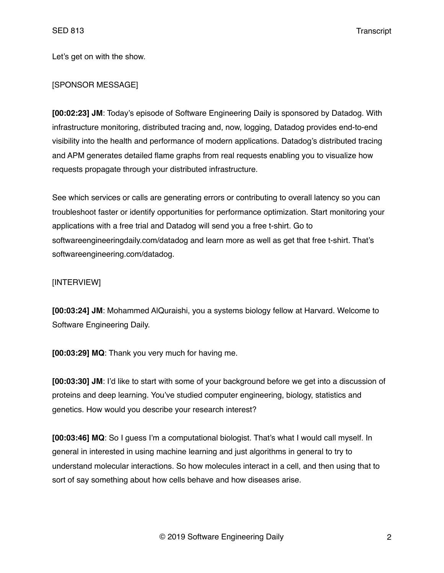Let's get on with the show.

## [SPONSOR MESSAGE]

**[00:02:23] JM**: Today's episode of Software Engineering Daily is sponsored by Datadog. With infrastructure monitoring, distributed tracing and, now, logging, Datadog provides end-to-end visibility into the health and performance of modern applications. Datadog's distributed tracing and APM generates detailed flame graphs from real requests enabling you to visualize how requests propagate through your distributed infrastructure.

See which services or calls are generating errors or contributing to overall latency so you can troubleshoot faster or identify opportunities for performance optimization. Start monitoring your applications with a free trial and Datadog will send you a free t-shirt. Go to softwareengineeringdaily.com/datadog and learn more as well as get that free t-shirt. That's softwareengineering.com/datadog.

### [INTERVIEW]

**[00:03:24] JM**: Mohammed AlQuraishi, you a systems biology fellow at Harvard. Welcome to Software Engineering Daily.

**[00:03:29] MQ**: Thank you very much for having me.

**[00:03:30] JM**: I'd like to start with some of your background before we get into a discussion of proteins and deep learning. You've studied computer engineering, biology, statistics and genetics. How would you describe your research interest?

**[00:03:46] MQ**: So I guess I'm a computational biologist. That's what I would call myself. In general in interested in using machine learning and just algorithms in general to try to understand molecular interactions. So how molecules interact in a cell, and then using that to sort of say something about how cells behave and how diseases arise.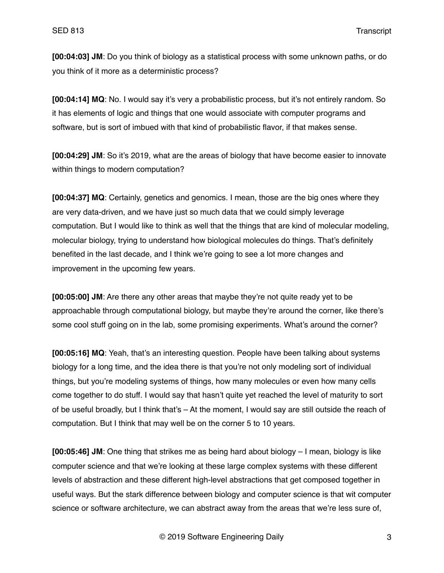**[00:04:03] JM**: Do you think of biology as a statistical process with some unknown paths, or do you think of it more as a deterministic process?

**[00:04:14] MQ**: No. I would say it's very a probabilistic process, but it's not entirely random. So it has elements of logic and things that one would associate with computer programs and software, but is sort of imbued with that kind of probabilistic flavor, if that makes sense.

**[00:04:29] JM**: So it's 2019, what are the areas of biology that have become easier to innovate within things to modern computation?

**[00:04:37] MQ**: Certainly, genetics and genomics. I mean, those are the big ones where they are very data-driven, and we have just so much data that we could simply leverage computation. But I would like to think as well that the things that are kind of molecular modeling, molecular biology, trying to understand how biological molecules do things. That's definitely benefited in the last decade, and I think we're going to see a lot more changes and improvement in the upcoming few years.

**[00:05:00] JM**: Are there any other areas that maybe they're not quite ready yet to be approachable through computational biology, but maybe they're around the corner, like there's some cool stuff going on in the lab, some promising experiments. What's around the corner?

**[00:05:16] MQ**: Yeah, that's an interesting question. People have been talking about systems biology for a long time, and the idea there is that you're not only modeling sort of individual things, but you're modeling systems of things, how many molecules or even how many cells come together to do stuff. I would say that hasn't quite yet reached the level of maturity to sort of be useful broadly, but I think that's – At the moment, I would say are still outside the reach of computation. But I think that may well be on the corner 5 to 10 years.

**[00:05:46] JM**: One thing that strikes me as being hard about biology – I mean, biology is like computer science and that we're looking at these large complex systems with these different levels of abstraction and these different high-level abstractions that get composed together in useful ways. But the stark difference between biology and computer science is that wit computer science or software architecture, we can abstract away from the areas that we're less sure of,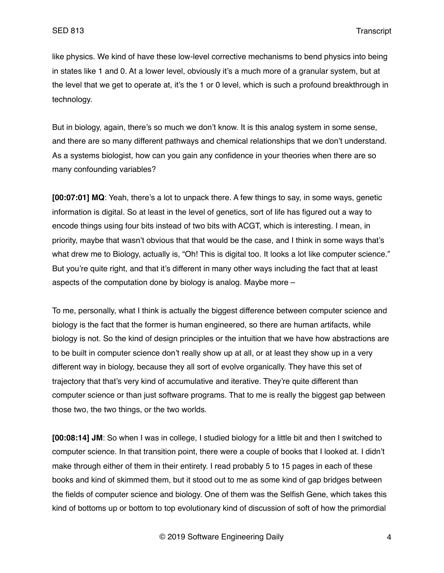like physics. We kind of have these low-level corrective mechanisms to bend physics into being in states like 1 and 0. At a lower level, obviously it's a much more of a granular system, but at the level that we get to operate at, it's the 1 or 0 level, which is such a profound breakthrough in technology.

But in biology, again, there's so much we don't know. It is this analog system in some sense, and there are so many different pathways and chemical relationships that we don't understand. As a systems biologist, how can you gain any confidence in your theories when there are so many confounding variables?

**[00:07:01] MQ**: Yeah, there's a lot to unpack there. A few things to say, in some ways, genetic information is digital. So at least in the level of genetics, sort of life has figured out a way to encode things using four bits instead of two bits with ACGT, which is interesting. I mean, in priority, maybe that wasn't obvious that that would be the case, and I think in some ways that's what drew me to Biology, actually is, "Oh! This is digital too. It looks a lot like computer science." But you're quite right, and that it's different in many other ways including the fact that at least aspects of the computation done by biology is analog. Maybe more –

To me, personally, what I think is actually the biggest difference between computer science and biology is the fact that the former is human engineered, so there are human artifacts, while biology is not. So the kind of design principles or the intuition that we have how abstractions are to be built in computer science don't really show up at all, or at least they show up in a very different way in biology, because they all sort of evolve organically. They have this set of trajectory that that's very kind of accumulative and iterative. They're quite different than computer science or than just software programs. That to me is really the biggest gap between those two, the two things, or the two worlds.

**[00:08:14] JM**: So when I was in college, I studied biology for a little bit and then I switched to computer science. In that transition point, there were a couple of books that I looked at. I didn't make through either of them in their entirety. I read probably 5 to 15 pages in each of these books and kind of skimmed them, but it stood out to me as some kind of gap bridges between the fields of computer science and biology. One of them was the Selfish Gene, which takes this kind of bottoms up or bottom to top evolutionary kind of discussion of soft of how the primordial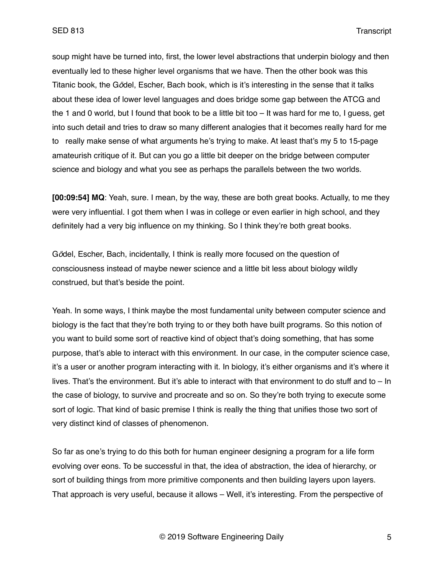soup might have be turned into, first, the lower level abstractions that underpin biology and then eventually led to these higher level organisms that we have. Then the other book was this Titanic book, the G*ö*del, Escher, Bach book, which is it's interesting in the sense that it talks about these idea of lower level languages and does bridge some gap between the ATCG and the 1 and 0 world, but I found that book to be a little bit too – It was hard for me to, I guess, get into such detail and tries to draw so many different analogies that it becomes really hard for me to really make sense of what arguments he's trying to make. At least that's my 5 to 15-page amateurish critique of it. But can you go a little bit deeper on the bridge between computer science and biology and what you see as perhaps the parallels between the two worlds.

**[00:09:54] MQ**: Yeah, sure. I mean, by the way, these are both great books. Actually, to me they were very influential. I got them when I was in college or even earlier in high school, and they definitely had a very big influence on my thinking. So I think they're both great books.

G*ö*del, Escher, Bach, incidentally, I think is really more focused on the question of consciousness instead of maybe newer science and a little bit less about biology wildly construed, but that's beside the point.

Yeah. In some ways, I think maybe the most fundamental unity between computer science and biology is the fact that they're both trying to or they both have built programs. So this notion of you want to build some sort of reactive kind of object that's doing something, that has some purpose, that's able to interact with this environment. In our case, in the computer science case, it's a user or another program interacting with it. In biology, it's either organisms and it's where it lives. That's the environment. But it's able to interact with that environment to do stuff and to – In the case of biology, to survive and procreate and so on. So they're both trying to execute some sort of logic. That kind of basic premise I think is really the thing that unifies those two sort of very distinct kind of classes of phenomenon.

So far as one's trying to do this both for human engineer designing a program for a life form evolving over eons. To be successful in that, the idea of abstraction, the idea of hierarchy, or sort of building things from more primitive components and then building layers upon layers. That approach is very useful, because it allows – Well, it's interesting. From the perspective of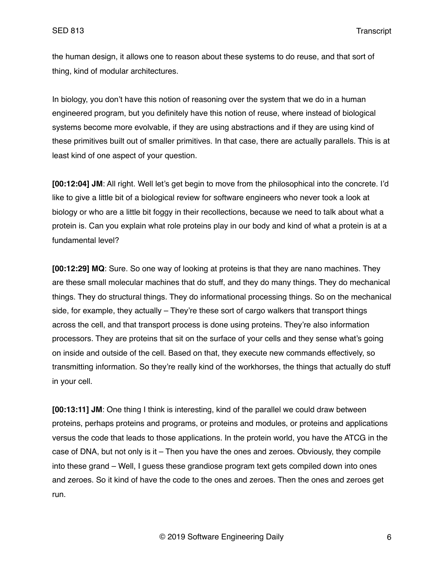SED 813 Transcript

the human design, it allows one to reason about these systems to do reuse, and that sort of thing, kind of modular architectures.

In biology, you don't have this notion of reasoning over the system that we do in a human engineered program, but you definitely have this notion of reuse, where instead of biological systems become more evolvable, if they are using abstractions and if they are using kind of these primitives built out of smaller primitives. In that case, there are actually parallels. This is at least kind of one aspect of your question.

**[00:12:04] JM**: All right. Well let's get begin to move from the philosophical into the concrete. I'd like to give a little bit of a biological review for software engineers who never took a look at biology or who are a little bit foggy in their recollections, because we need to talk about what a protein is. Can you explain what role proteins play in our body and kind of what a protein is at a fundamental level?

**[00:12:29] MQ**: Sure. So one way of looking at proteins is that they are nano machines. They are these small molecular machines that do stuff, and they do many things. They do mechanical things. They do structural things. They do informational processing things. So on the mechanical side, for example, they actually – They're these sort of cargo walkers that transport things across the cell, and that transport process is done using proteins. They're also information processors. They are proteins that sit on the surface of your cells and they sense what's going on inside and outside of the cell. Based on that, they execute new commands effectively, so transmitting information. So they're really kind of the workhorses, the things that actually do stuff in your cell.

**[00:13:11] JM**: One thing I think is interesting, kind of the parallel we could draw between proteins, perhaps proteins and programs, or proteins and modules, or proteins and applications versus the code that leads to those applications. In the protein world, you have the ATCG in the case of DNA, but not only is it – Then you have the ones and zeroes. Obviously, they compile into these grand – Well, I guess these grandiose program text gets compiled down into ones and zeroes. So it kind of have the code to the ones and zeroes. Then the ones and zeroes get run.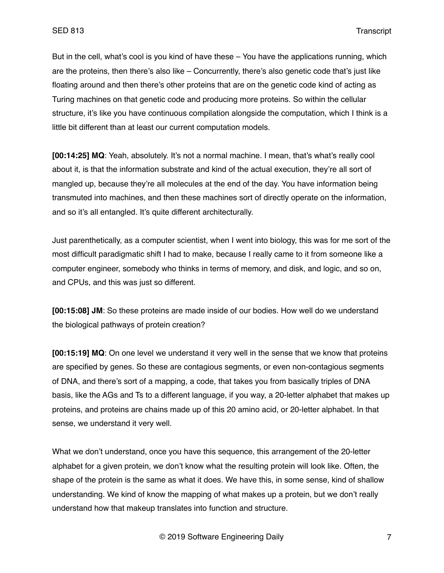But in the cell, what's cool is you kind of have these – You have the applications running, which are the proteins, then there's also like – Concurrently, there's also genetic code that's just like floating around and then there's other proteins that are on the genetic code kind of acting as Turing machines on that genetic code and producing more proteins. So within the cellular structure, it's like you have continuous compilation alongside the computation, which I think is a little bit different than at least our current computation models.

**[00:14:25] MQ**: Yeah, absolutely. It's not a normal machine. I mean, that's what's really cool about it, is that the information substrate and kind of the actual execution, they're all sort of mangled up, because they're all molecules at the end of the day. You have information being transmuted into machines, and then these machines sort of directly operate on the information, and so it's all entangled. It's quite different architecturally.

Just parenthetically, as a computer scientist, when I went into biology, this was for me sort of the most difficult paradigmatic shift I had to make, because I really came to it from someone like a computer engineer, somebody who thinks in terms of memory, and disk, and logic, and so on, and CPUs, and this was just so different.

**[00:15:08] JM**: So these proteins are made inside of our bodies. How well do we understand the biological pathways of protein creation?

**[00:15:19] MQ**: On one level we understand it very well in the sense that we know that proteins are specified by genes. So these are contagious segments, or even non-contagious segments of DNA, and there's sort of a mapping, a code, that takes you from basically triples of DNA basis, like the AGs and Ts to a different language, if you way, a 20-letter alphabet that makes up proteins, and proteins are chains made up of this 20 amino acid, or 20-letter alphabet. In that sense, we understand it very well.

What we don't understand, once you have this sequence, this arrangement of the 20-letter alphabet for a given protein, we don't know what the resulting protein will look like. Often, the shape of the protein is the same as what it does. We have this, in some sense, kind of shallow understanding. We kind of know the mapping of what makes up a protein, but we don't really understand how that makeup translates into function and structure.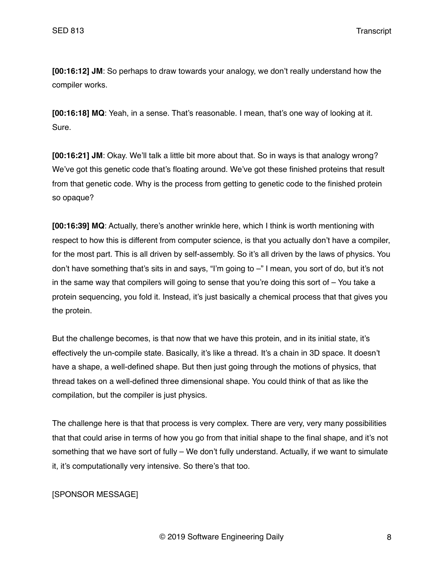SED 813 Transcript

**[00:16:12] JM**: So perhaps to draw towards your analogy, we don't really understand how the compiler works.

**[00:16:18] MQ**: Yeah, in a sense. That's reasonable. I mean, that's one way of looking at it. Sure.

**[00:16:21] JM**: Okay. We'll talk a little bit more about that. So in ways is that analogy wrong? We've got this genetic code that's floating around. We've got these finished proteins that result from that genetic code. Why is the process from getting to genetic code to the finished protein so opaque?

**[00:16:39] MQ**: Actually, there's another wrinkle here, which I think is worth mentioning with respect to how this is different from computer science, is that you actually don't have a compiler, for the most part. This is all driven by self-assembly. So it's all driven by the laws of physics. You don't have something that's sits in and says, "I'm going to –" I mean, you sort of do, but it's not in the same way that compilers will going to sense that you're doing this sort of – You take a protein sequencing, you fold it. Instead, it's just basically a chemical process that that gives you the protein.

But the challenge becomes, is that now that we have this protein, and in its initial state, it's effectively the un-compile state. Basically, it's like a thread. It's a chain in 3D space. It doesn't have a shape, a well-defined shape. But then just going through the motions of physics, that thread takes on a well-defined three dimensional shape. You could think of that as like the compilation, but the compiler is just physics.

The challenge here is that that process is very complex. There are very, very many possibilities that that could arise in terms of how you go from that initial shape to the final shape, and it's not something that we have sort of fully – We don't fully understand. Actually, if we want to simulate it, it's computationally very intensive. So there's that too.

# [SPONSOR MESSAGE]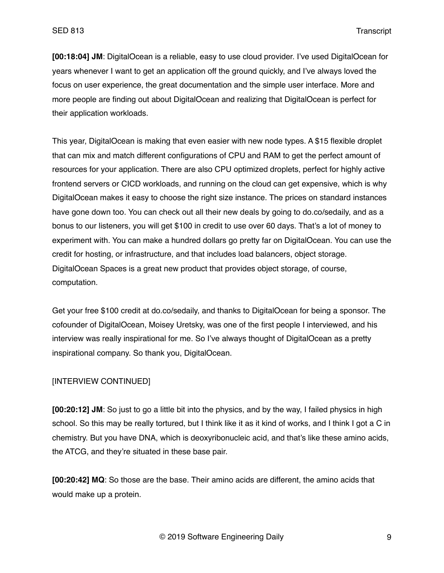**[00:18:04] JM**: DigitalOcean is a reliable, easy to use cloud provider. I've used DigitalOcean for years whenever I want to get an application off the ground quickly, and I've always loved the focus on user experience, the great documentation and the simple user interface. More and more people are finding out about DigitalOcean and realizing that DigitalOcean is perfect for their application workloads.

This year, DigitalOcean is making that even easier with new node types. A \$15 flexible droplet that can mix and match different configurations of CPU and RAM to get the perfect amount of resources for your application. There are also CPU optimized droplets, perfect for highly active frontend servers or CICD workloads, and running on the cloud can get expensive, which is why DigitalOcean makes it easy to choose the right size instance. The prices on standard instances have gone down too. You can check out all their new deals by going to do.co/sedaily, and as a bonus to our listeners, you will get \$100 in credit to use over 60 days. That's a lot of money to experiment with. You can make a hundred dollars go pretty far on DigitalOcean. You can use the credit for hosting, or infrastructure, and that includes load balancers, object storage. DigitalOcean Spaces is a great new product that provides object storage, of course, computation.

Get your free \$100 credit at do.co/sedaily, and thanks to DigitalOcean for being a sponsor. The cofounder of DigitalOcean, Moisey Uretsky, was one of the first people I interviewed, and his interview was really inspirational for me. So I've always thought of DigitalOcean as a pretty inspirational company. So thank you, DigitalOcean.

# [INTERVIEW CONTINUED]

**[00:20:12] JM**: So just to go a little bit into the physics, and by the way, I failed physics in high school. So this may be really tortured, but I think like it as it kind of works, and I think I got a C in chemistry. But you have DNA, which is deoxyribonucleic acid, and that's like these amino acids, the ATCG, and they're situated in these base pair.

**[00:20:42] MQ**: So those are the base. Their amino acids are different, the amino acids that would make up a protein.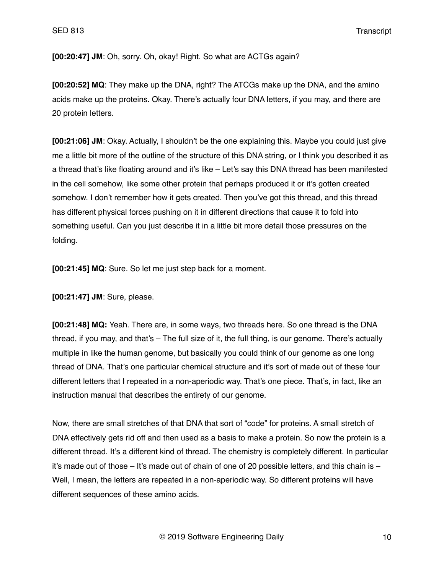SED 813 Transcript

**[00:20:47] JM**: Oh, sorry. Oh, okay! Right. So what are ACTGs again?

**[00:20:52] MQ**: They make up the DNA, right? The ATCGs make up the DNA, and the amino acids make up the proteins. Okay. There's actually four DNA letters, if you may, and there are 20 protein letters.

**[00:21:06] JM**: Okay. Actually, I shouldn't be the one explaining this. Maybe you could just give me a little bit more of the outline of the structure of this DNA string, or I think you described it as a thread that's like floating around and it's like – Let's say this DNA thread has been manifested in the cell somehow, like some other protein that perhaps produced it or it's gotten created somehow. I don't remember how it gets created. Then you've got this thread, and this thread has different physical forces pushing on it in different directions that cause it to fold into something useful. Can you just describe it in a little bit more detail those pressures on the folding.

**[00:21:45] MQ**: Sure. So let me just step back for a moment.

**[00:21:47] JM**: Sure, please.

**[00:21:48] MQ:** Yeah. There are, in some ways, two threads here. So one thread is the DNA thread, if you may, and that's – The full size of it, the full thing, is our genome. There's actually multiple in like the human genome, but basically you could think of our genome as one long thread of DNA. That's one particular chemical structure and it's sort of made out of these four different letters that I repeated in a non-aperiodic way. That's one piece. That's, in fact, like an instruction manual that describes the entirety of our genome.

Now, there are small stretches of that DNA that sort of "code" for proteins. A small stretch of DNA effectively gets rid off and then used as a basis to make a protein. So now the protein is a different thread. It's a different kind of thread. The chemistry is completely different. In particular it's made out of those – It's made out of chain of one of 20 possible letters, and this chain is – Well, I mean, the letters are repeated in a non-aperiodic way. So different proteins will have different sequences of these amino acids.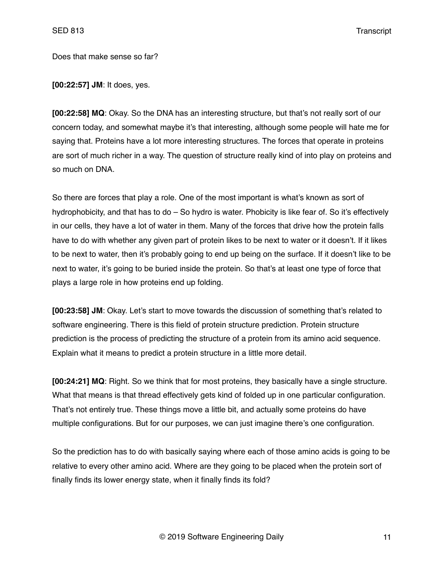Does that make sense so far?

**[00:22:57] JM**: It does, yes.

**[00:22:58] MQ**: Okay. So the DNA has an interesting structure, but that's not really sort of our concern today, and somewhat maybe it's that interesting, although some people will hate me for saying that. Proteins have a lot more interesting structures. The forces that operate in proteins are sort of much richer in a way. The question of structure really kind of into play on proteins and so much on DNA.

So there are forces that play a role. One of the most important is what's known as sort of hydrophobicity, and that has to do – So hydro is water. Phobicity is like fear of. So it's effectively in our cells, they have a lot of water in them. Many of the forces that drive how the protein falls have to do with whether any given part of protein likes to be next to water or it doesn't. If it likes to be next to water, then it's probably going to end up being on the surface. If it doesn't like to be next to water, it's going to be buried inside the protein. So that's at least one type of force that plays a large role in how proteins end up folding.

**[00:23:58] JM**: Okay. Let's start to move towards the discussion of something that's related to software engineering. There is this field of protein structure prediction. Protein structure prediction is the process of predicting the structure of a protein from its amino acid sequence. Explain what it means to predict a protein structure in a little more detail.

**[00:24:21] MQ**: Right. So we think that for most proteins, they basically have a single structure. What that means is that thread effectively gets kind of folded up in one particular configuration. That's not entirely true. These things move a little bit, and actually some proteins do have multiple configurations. But for our purposes, we can just imagine there's one configuration.

So the prediction has to do with basically saying where each of those amino acids is going to be relative to every other amino acid. Where are they going to be placed when the protein sort of finally finds its lower energy state, when it finally finds its fold?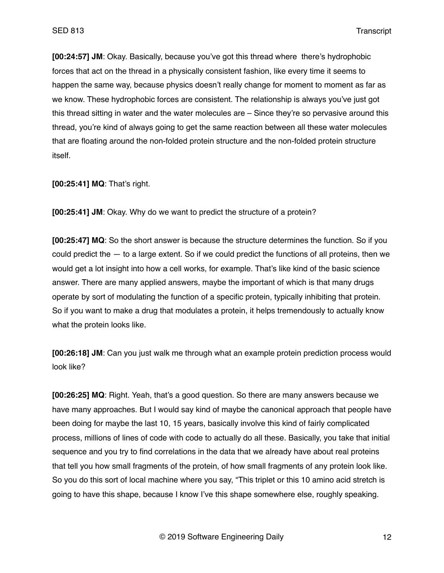**[00:24:57] JM**: Okay. Basically, because you've got this thread where there's hydrophobic forces that act on the thread in a physically consistent fashion, like every time it seems to happen the same way, because physics doesn't really change for moment to moment as far as we know. These hydrophobic forces are consistent. The relationship is always you've just got this thread sitting in water and the water molecules are – Since they're so pervasive around this thread, you're kind of always going to get the same reaction between all these water molecules that are floating around the non-folded protein structure and the non-folded protein structure itself.

**[00:25:41] MQ**: That's right.

**[00:25:41] JM**: Okay. Why do we want to predict the structure of a protein?

**[00:25:47] MQ**: So the short answer is because the structure determines the function. So if you could predict the  $-$  to a large extent. So if we could predict the functions of all proteins, then we would get a lot insight into how a cell works, for example. That's like kind of the basic science answer. There are many applied answers, maybe the important of which is that many drugs operate by sort of modulating the function of a specific protein, typically inhibiting that protein. So if you want to make a drug that modulates a protein, it helps tremendously to actually know what the protein looks like.

**[00:26:18] JM**: Can you just walk me through what an example protein prediction process would look like?

**[00:26:25] MQ**: Right. Yeah, that's a good question. So there are many answers because we have many approaches. But I would say kind of maybe the canonical approach that people have been doing for maybe the last 10, 15 years, basically involve this kind of fairly complicated process, millions of lines of code with code to actually do all these. Basically, you take that initial sequence and you try to find correlations in the data that we already have about real proteins that tell you how small fragments of the protein, of how small fragments of any protein look like. So you do this sort of local machine where you say, "This triplet or this 10 amino acid stretch is going to have this shape, because I know I've this shape somewhere else, roughly speaking.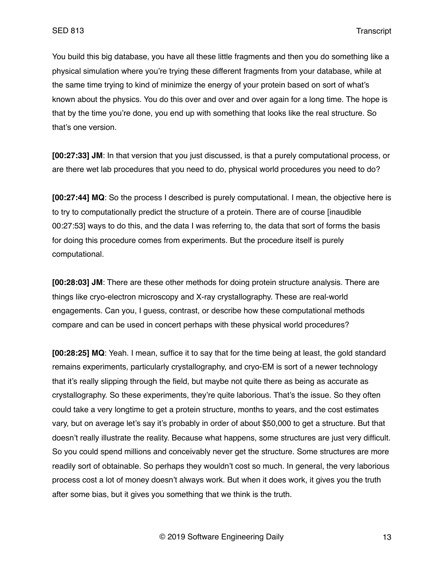You build this big database, you have all these little fragments and then you do something like a physical simulation where you're trying these different fragments from your database, while at the same time trying to kind of minimize the energy of your protein based on sort of what's known about the physics. You do this over and over and over again for a long time. The hope is that by the time you're done, you end up with something that looks like the real structure. So that's one version.

**[00:27:33] JM**: In that version that you just discussed, is that a purely computational process, or are there wet lab procedures that you need to do, physical world procedures you need to do?

**[00:27:44] MQ**: So the process I described is purely computational. I mean, the objective here is to try to computationally predict the structure of a protein. There are of course [inaudible 00:27:53] ways to do this, and the data I was referring to, the data that sort of forms the basis for doing this procedure comes from experiments. But the procedure itself is purely computational.

**[00:28:03] JM**: There are these other methods for doing protein structure analysis. There are things like cryo-electron microscopy and X-ray crystallography. These are real-world engagements. Can you, I guess, contrast, or describe how these computational methods compare and can be used in concert perhaps with these physical world procedures?

**[00:28:25] MQ**: Yeah. I mean, suffice it to say that for the time being at least, the gold standard remains experiments, particularly crystallography, and cryo-EM is sort of a newer technology that it's really slipping through the field, but maybe not quite there as being as accurate as crystallography. So these experiments, they're quite laborious. That's the issue. So they often could take a very longtime to get a protein structure, months to years, and the cost estimates vary, but on average let's say it's probably in order of about \$50,000 to get a structure. But that doesn't really illustrate the reality. Because what happens, some structures are just very difficult. So you could spend millions and conceivably never get the structure. Some structures are more readily sort of obtainable. So perhaps they wouldn't cost so much. In general, the very laborious process cost a lot of money doesn't always work. But when it does work, it gives you the truth after some bias, but it gives you something that we think is the truth.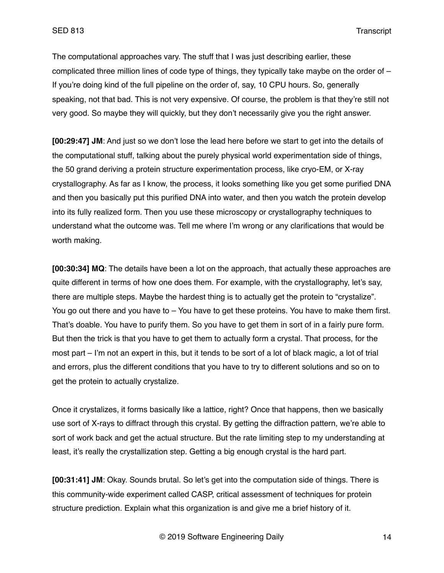The computational approaches vary. The stuff that I was just describing earlier, these complicated three million lines of code type of things, they typically take maybe on the order of  $-$ If you're doing kind of the full pipeline on the order of, say, 10 CPU hours. So, generally speaking, not that bad. This is not very expensive. Of course, the problem is that they're still not very good. So maybe they will quickly, but they don't necessarily give you the right answer.

**[00:29:47] JM**: And just so we don't lose the lead here before we start to get into the details of the computational stuff, talking about the purely physical world experimentation side of things, the 50 grand deriving a protein structure experimentation process, like cryo-EM, or X-ray crystallography. As far as I know, the process, it looks something like you get some purified DNA and then you basically put this purified DNA into water, and then you watch the protein develop into its fully realized form. Then you use these microscopy or crystallography techniques to understand what the outcome was. Tell me where I'm wrong or any clarifications that would be worth making.

**[00:30:34] MQ**: The details have been a lot on the approach, that actually these approaches are quite different in terms of how one does them. For example, with the crystallography, let's say, there are multiple steps. Maybe the hardest thing is to actually get the protein to "crystalize". You go out there and you have to – You have to get these proteins. You have to make them first. That's doable. You have to purify them. So you have to get them in sort of in a fairly pure form. But then the trick is that you have to get them to actually form a crystal. That process, for the most part – I'm not an expert in this, but it tends to be sort of a lot of black magic, a lot of trial and errors, plus the different conditions that you have to try to different solutions and so on to get the protein to actually crystalize.

Once it crystalizes, it forms basically like a lattice, right? Once that happens, then we basically use sort of X-rays to diffract through this crystal. By getting the diffraction pattern, we're able to sort of work back and get the actual structure. But the rate limiting step to my understanding at least, it's really the crystallization step. Getting a big enough crystal is the hard part.

**[00:31:41] JM**: Okay. Sounds brutal. So let's get into the computation side of things. There is this community-wide experiment called CASP, critical assessment of techniques for protein structure prediction. Explain what this organization is and give me a brief history of it.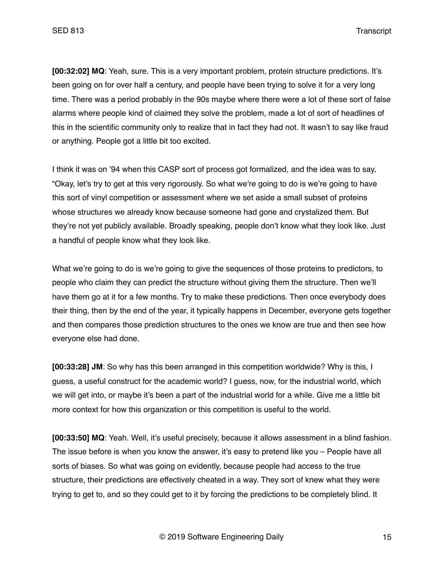SED 813 Transcript

**[00:32:02] MQ**: Yeah, sure. This is a very important problem, protein structure predictions. It's been going on for over half a century, and people have been trying to solve it for a very long time. There was a period probably in the 90s maybe where there were a lot of these sort of false alarms where people kind of claimed they solve the problem, made a lot of sort of headlines of this in the scientific community only to realize that in fact they had not. It wasn't to say like fraud or anything. People got a little bit too excited.

I think it was on '94 when this CASP sort of process got formalized, and the idea was to say, "Okay, let's try to get at this very rigorously. So what we're going to do is we're going to have this sort of vinyl competition or assessment where we set aside a small subset of proteins whose structures we already know because someone had gone and crystalized them. But they're not yet publicly available. Broadly speaking, people don't know what they look like. Just a handful of people know what they look like.

What we're going to do is we're going to give the sequences of those proteins to predictors, to people who claim they can predict the structure without giving them the structure. Then we'll have them go at it for a few months. Try to make these predictions. Then once everybody does their thing, then by the end of the year, it typically happens in December, everyone gets together and then compares those prediction structures to the ones we know are true and then see how everyone else had done.

**[00:33:28] JM**: So why has this been arranged in this competition worldwide? Why is this, I guess, a useful construct for the academic world? I guess, now, for the industrial world, which we will get into, or maybe it's been a part of the industrial world for a while. Give me a little bit more context for how this organization or this competition is useful to the world.

**[00:33:50] MQ**: Yeah. Well, it's useful precisely, because it allows assessment in a blind fashion. The issue before is when you know the answer, it's easy to pretend like you – People have all sorts of biases. So what was going on evidently, because people had access to the true structure, their predictions are effectively cheated in a way. They sort of knew what they were trying to get to, and so they could get to it by forcing the predictions to be completely blind. It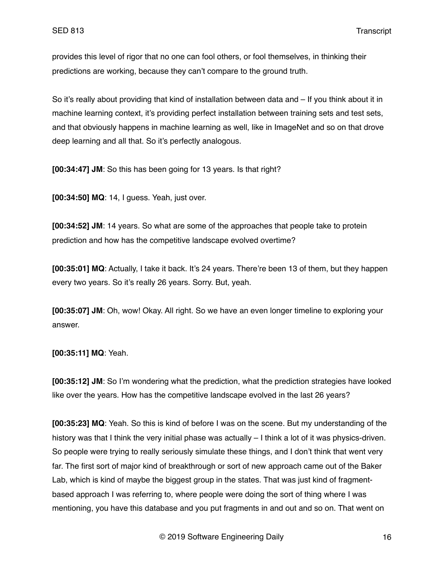provides this level of rigor that no one can fool others, or fool themselves, in thinking their predictions are working, because they can't compare to the ground truth.

So it's really about providing that kind of installation between data and – If you think about it in machine learning context, it's providing perfect installation between training sets and test sets, and that obviously happens in machine learning as well, like in ImageNet and so on that drove deep learning and all that. So it's perfectly analogous.

**[00:34:47] JM**: So this has been going for 13 years. Is that right?

**[00:34:50] MQ**: 14, I guess. Yeah, just over.

**[00:34:52] JM**: 14 years. So what are some of the approaches that people take to protein prediction and how has the competitive landscape evolved overtime?

**[00:35:01] MQ**: Actually, I take it back. It's 24 years. There're been 13 of them, but they happen every two years. So it's really 26 years. Sorry. But, yeah.

**[00:35:07] JM**: Oh, wow! Okay. All right. So we have an even longer timeline to exploring your answer.

**[00:35:11] MQ**: Yeah.

**[00:35:12] JM**: So I'm wondering what the prediction, what the prediction strategies have looked like over the years. How has the competitive landscape evolved in the last 26 years?

**[00:35:23] MQ**: Yeah. So this is kind of before I was on the scene. But my understanding of the history was that I think the very initial phase was actually – I think a lot of it was physics-driven. So people were trying to really seriously simulate these things, and I don't think that went very far. The first sort of major kind of breakthrough or sort of new approach came out of the Baker Lab, which is kind of maybe the biggest group in the states. That was just kind of fragmentbased approach I was referring to, where people were doing the sort of thing where I was mentioning, you have this database and you put fragments in and out and so on. That went on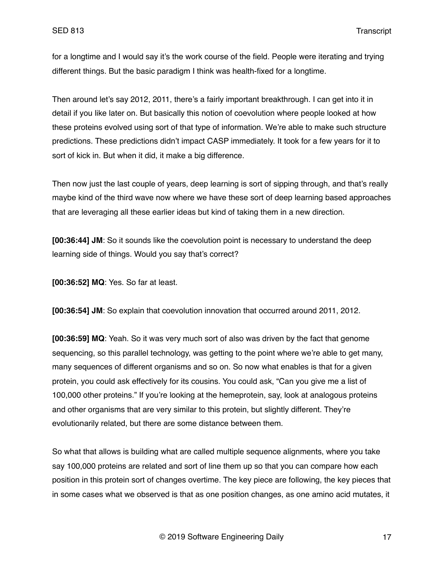for a longtime and I would say it's the work course of the field. People were iterating and trying different things. But the basic paradigm I think was health-fixed for a longtime.

Then around let's say 2012, 2011, there's a fairly important breakthrough. I can get into it in detail if you like later on. But basically this notion of coevolution where people looked at how these proteins evolved using sort of that type of information. We're able to make such structure predictions. These predictions didn't impact CASP immediately. It took for a few years for it to sort of kick in. But when it did, it make a big difference.

Then now just the last couple of years, deep learning is sort of sipping through, and that's really maybe kind of the third wave now where we have these sort of deep learning based approaches that are leveraging all these earlier ideas but kind of taking them in a new direction.

**[00:36:44] JM**: So it sounds like the coevolution point is necessary to understand the deep learning side of things. Would you say that's correct?

**[00:36:52] MQ**: Yes. So far at least.

**[00:36:54] JM**: So explain that coevolution innovation that occurred around 2011, 2012.

**[00:36:59] MQ**: Yeah. So it was very much sort of also was driven by the fact that genome sequencing, so this parallel technology, was getting to the point where we're able to get many, many sequences of different organisms and so on. So now what enables is that for a given protein, you could ask effectively for its cousins. You could ask, "Can you give me a list of 100,000 other proteins." If you're looking at the hemeprotein, say, look at analogous proteins and other organisms that are very similar to this protein, but slightly different. They're evolutionarily related, but there are some distance between them.

So what that allows is building what are called multiple sequence alignments, where you take say 100,000 proteins are related and sort of line them up so that you can compare how each position in this protein sort of changes overtime. The key piece are following, the key pieces that in some cases what we observed is that as one position changes, as one amino acid mutates, it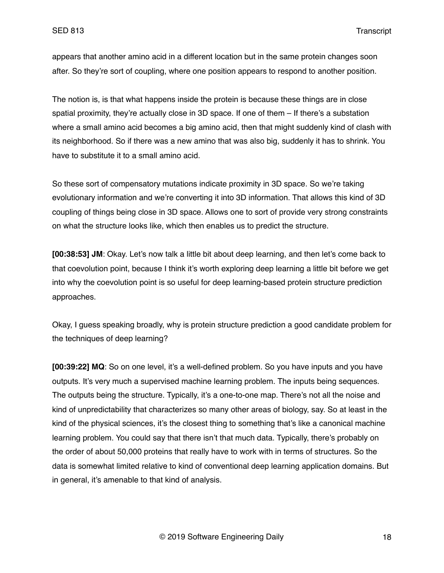appears that another amino acid in a different location but in the same protein changes soon after. So they're sort of coupling, where one position appears to respond to another position.

The notion is, is that what happens inside the protein is because these things are in close spatial proximity, they're actually close in 3D space. If one of them – If there's a substation where a small amino acid becomes a big amino acid, then that might suddenly kind of clash with its neighborhood. So if there was a new amino that was also big, suddenly it has to shrink. You have to substitute it to a small amino acid.

So these sort of compensatory mutations indicate proximity in 3D space. So we're taking evolutionary information and we're converting it into 3D information. That allows this kind of 3D coupling of things being close in 3D space. Allows one to sort of provide very strong constraints on what the structure looks like, which then enables us to predict the structure.

**[00:38:53] JM**: Okay. Let's now talk a little bit about deep learning, and then let's come back to that coevolution point, because I think it's worth exploring deep learning a little bit before we get into why the coevolution point is so useful for deep learning-based protein structure prediction approaches.

Okay, I guess speaking broadly, why is protein structure prediction a good candidate problem for the techniques of deep learning?

**[00:39:22] MQ**: So on one level, it's a well-defined problem. So you have inputs and you have outputs. It's very much a supervised machine learning problem. The inputs being sequences. The outputs being the structure. Typically, it's a one-to-one map. There's not all the noise and kind of unpredictability that characterizes so many other areas of biology, say. So at least in the kind of the physical sciences, it's the closest thing to something that's like a canonical machine learning problem. You could say that there isn't that much data. Typically, there's probably on the order of about 50,000 proteins that really have to work with in terms of structures. So the data is somewhat limited relative to kind of conventional deep learning application domains. But in general, it's amenable to that kind of analysis.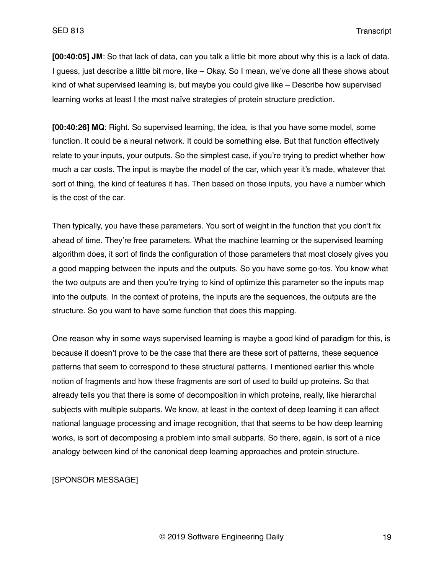**[00:40:05] JM**: So that lack of data, can you talk a little bit more about why this is a lack of data. I guess, just describe a little bit more, like – Okay. So I mean, we've done all these shows about kind of what supervised learning is, but maybe you could give like – Describe how supervised learning works at least I the most naïve strategies of protein structure prediction.

**[00:40:26] MQ**: Right. So supervised learning, the idea, is that you have some model, some function. It could be a neural network. It could be something else. But that function effectively relate to your inputs, your outputs. So the simplest case, if you're trying to predict whether how much a car costs. The input is maybe the model of the car, which year it's made, whatever that sort of thing, the kind of features it has. Then based on those inputs, you have a number which is the cost of the car.

Then typically, you have these parameters. You sort of weight in the function that you don't fix ahead of time. They're free parameters. What the machine learning or the supervised learning algorithm does, it sort of finds the configuration of those parameters that most closely gives you a good mapping between the inputs and the outputs. So you have some go-tos. You know what the two outputs are and then you're trying to kind of optimize this parameter so the inputs map into the outputs. In the context of proteins, the inputs are the sequences, the outputs are the structure. So you want to have some function that does this mapping.

One reason why in some ways supervised learning is maybe a good kind of paradigm for this, is because it doesn't prove to be the case that there are these sort of patterns, these sequence patterns that seem to correspond to these structural patterns. I mentioned earlier this whole notion of fragments and how these fragments are sort of used to build up proteins. So that already tells you that there is some of decomposition in which proteins, really, like hierarchal subjects with multiple subparts. We know, at least in the context of deep learning it can affect national language processing and image recognition, that that seems to be how deep learning works, is sort of decomposing a problem into small subparts. So there, again, is sort of a nice analogy between kind of the canonical deep learning approaches and protein structure.

## [SPONSOR MESSAGE]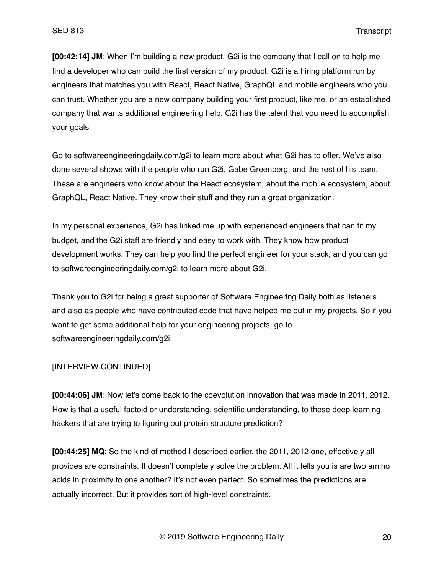**[00:42:14] JM**: When I'm building a new product, G2i is the company that I call on to help me find a developer who can build the first version of my product. G2i is a hiring platform run by engineers that matches you with React, React Native, GraphQL and mobile engineers who you can trust. Whether you are a new company building your first product, like me, or an established company that wants additional engineering help, G2i has the talent that you need to accomplish your goals.

Go to softwareengineeringdaily.com/g2i to learn more about what G2i has to offer. We've also done several shows with the people who run G2i, Gabe Greenberg, and the rest of his team. These are engineers who know about the React ecosystem, about the mobile ecosystem, about GraphQL, React Native. They know their stuff and they run a great organization.

In my personal experience, G2i has linked me up with experienced engineers that can fit my budget, and the G2i staff are friendly and easy to work with. They know how product development works. They can help you find the perfect engineer for your stack, and you can go to softwareengineeringdaily.com/g2i to learn more about G2i.

Thank you to G2i for being a great supporter of Software Engineering Daily both as listeners and also as people who have contributed code that have helped me out in my projects. So if you want to get some additional help for your engineering projects, go to softwareengineeringdaily.com/g2i.

## [INTERVIEW CONTINUED]

**[00:44:06] JM**: Now let's come back to the coevolution innovation that was made in 2011, 2012. How is that a useful factoid or understanding, scientific understanding, to these deep learning hackers that are trying to figuring out protein structure prediction?

**[00:44:25] MQ**: So the kind of method I described earlier, the 2011, 2012 one, effectively all provides are constraints. It doesn't completely solve the problem. All it tells you is are two amino acids in proximity to one another? It's not even perfect. So sometimes the predictions are actually incorrect. But it provides sort of high-level constraints.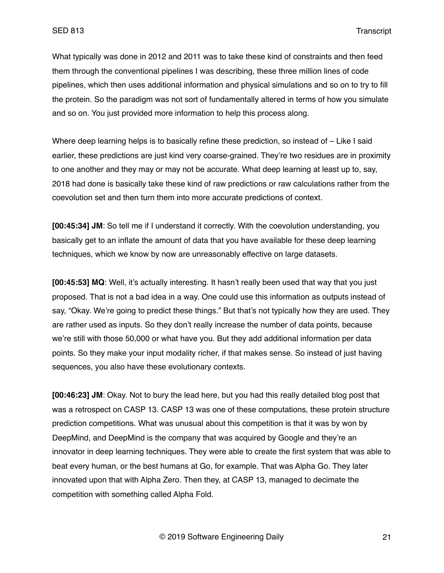What typically was done in 2012 and 2011 was to take these kind of constraints and then feed them through the conventional pipelines I was describing, these three million lines of code pipelines, which then uses additional information and physical simulations and so on to try to fill the protein. So the paradigm was not sort of fundamentally altered in terms of how you simulate and so on. You just provided more information to help this process along.

Where deep learning helps is to basically refine these prediction, so instead of – Like I said earlier, these predictions are just kind very coarse-grained. They're two residues are in proximity to one another and they may or may not be accurate. What deep learning at least up to, say, 2018 had done is basically take these kind of raw predictions or raw calculations rather from the coevolution set and then turn them into more accurate predictions of context.

**[00:45:34] JM**: So tell me if I understand it correctly. With the coevolution understanding, you basically get to an inflate the amount of data that you have available for these deep learning techniques, which we know by now are unreasonably effective on large datasets.

**[00:45:53] MQ**: Well, it's actually interesting. It hasn't really been used that way that you just proposed. That is not a bad idea in a way. One could use this information as outputs instead of say, "Okay. We're going to predict these things." But that's not typically how they are used. They are rather used as inputs. So they don't really increase the number of data points, because we're still with those 50,000 or what have you. But they add additional information per data points. So they make your input modality richer, if that makes sense. So instead of just having sequences, you also have these evolutionary contexts.

**[00:46:23] JM**: Okay. Not to bury the lead here, but you had this really detailed blog post that was a retrospect on CASP 13. CASP 13 was one of these computations, these protein structure prediction competitions. What was unusual about this competition is that it was by won by DeepMind, and DeepMind is the company that was acquired by Google and they're an innovator in deep learning techniques. They were able to create the first system that was able to beat every human, or the best humans at Go, for example. That was Alpha Go. They later innovated upon that with Alpha Zero. Then they, at CASP 13, managed to decimate the competition with something called Alpha Fold.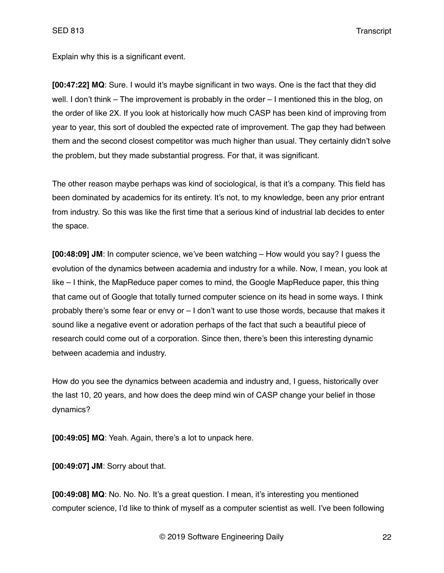SED 813 Transcript

Explain why this is a significant event.

**[00:47:22] MQ**: Sure. I would it's maybe significant in two ways. One is the fact that they did well. I don't think – The improvement is probably in the order – I mentioned this in the blog, on the order of like 2X. If you look at historically how much CASP has been kind of improving from year to year, this sort of doubled the expected rate of improvement. The gap they had between them and the second closest competitor was much higher than usual. They certainly didn't solve the problem, but they made substantial progress. For that, it was significant.

The other reason maybe perhaps was kind of sociological, is that it's a company. This field has been dominated by academics for its entirety. It's not, to my knowledge, been any prior entrant from industry. So this was like the first time that a serious kind of industrial lab decides to enter the space.

**[00:48:09] JM**: In computer science, we've been watching – How would you say? I guess the evolution of the dynamics between academia and industry for a while. Now, I mean, you look at like – I think, the MapReduce paper comes to mind, the Google MapReduce paper, this thing that came out of Google that totally turned computer science on its head in some ways. I think probably there's some fear or envy or – I don't want to use those words, because that makes it sound like a negative event or adoration perhaps of the fact that such a beautiful piece of research could come out of a corporation. Since then, there's been this interesting dynamic between academia and industry.

How do you see the dynamics between academia and industry and, I guess, historically over the last 10, 20 years, and how does the deep mind win of CASP change your belief in those dynamics?

**[00:49:05] MQ**: Yeah. Again, there's a lot to unpack here.

**[00:49:07] JM**: Sorry about that.

**[00:49:08] MQ**: No. No. No. It's a great question. I mean, it's interesting you mentioned computer science, I'd like to think of myself as a computer scientist as well. I've been following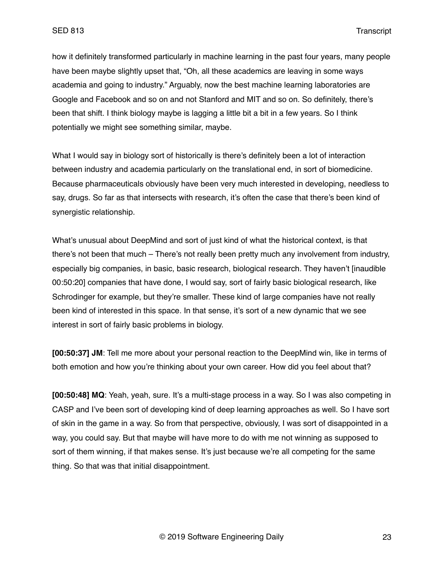how it definitely transformed particularly in machine learning in the past four years, many people have been maybe slightly upset that, "Oh, all these academics are leaving in some ways academia and going to industry." Arguably, now the best machine learning laboratories are Google and Facebook and so on and not Stanford and MIT and so on. So definitely, there's been that shift. I think biology maybe is lagging a little bit a bit in a few years. So I think potentially we might see something similar, maybe.

What I would say in biology sort of historically is there's definitely been a lot of interaction between industry and academia particularly on the translational end, in sort of biomedicine. Because pharmaceuticals obviously have been very much interested in developing, needless to say, drugs. So far as that intersects with research, it's often the case that there's been kind of synergistic relationship.

What's unusual about DeepMind and sort of just kind of what the historical context, is that there's not been that much – There's not really been pretty much any involvement from industry, especially big companies, in basic, basic research, biological research. They haven't [inaudible 00:50:20] companies that have done, I would say, sort of fairly basic biological research, like Schrodinger for example, but they're smaller. These kind of large companies have not really been kind of interested in this space. In that sense, it's sort of a new dynamic that we see interest in sort of fairly basic problems in biology.

**[00:50:37] JM**: Tell me more about your personal reaction to the DeepMind win, like in terms of both emotion and how you're thinking about your own career. How did you feel about that?

**[00:50:48] MQ**: Yeah, yeah, sure. It's a multi-stage process in a way. So I was also competing in CASP and I've been sort of developing kind of deep learning approaches as well. So I have sort of skin in the game in a way. So from that perspective, obviously, I was sort of disappointed in a way, you could say. But that maybe will have more to do with me not winning as supposed to sort of them winning, if that makes sense. It's just because we're all competing for the same thing. So that was that initial disappointment.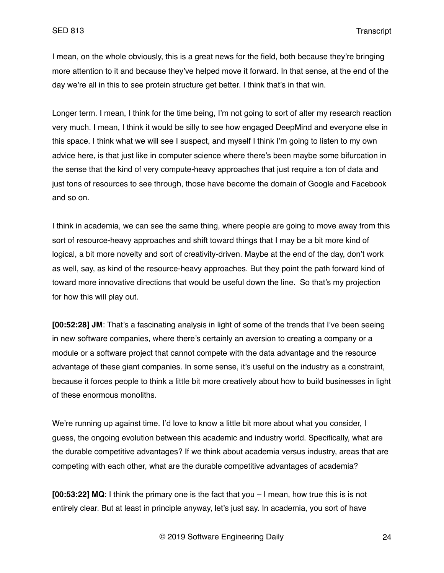I mean, on the whole obviously, this is a great news for the field, both because they're bringing more attention to it and because they've helped move it forward. In that sense, at the end of the day we're all in this to see protein structure get better. I think that's in that win.

Longer term. I mean, I think for the time being, I'm not going to sort of alter my research reaction very much. I mean, I think it would be silly to see how engaged DeepMind and everyone else in this space. I think what we will see I suspect, and myself I think I'm going to listen to my own advice here, is that just like in computer science where there's been maybe some bifurcation in the sense that the kind of very compute-heavy approaches that just require a ton of data and just tons of resources to see through, those have become the domain of Google and Facebook and so on.

I think in academia, we can see the same thing, where people are going to move away from this sort of resource-heavy approaches and shift toward things that I may be a bit more kind of logical, a bit more novelty and sort of creativity-driven. Maybe at the end of the day, don't work as well, say, as kind of the resource-heavy approaches. But they point the path forward kind of toward more innovative directions that would be useful down the line. So that's my projection for how this will play out.

**[00:52:28] JM**: That's a fascinating analysis in light of some of the trends that I've been seeing in new software companies, where there's certainly an aversion to creating a company or a module or a software project that cannot compete with the data advantage and the resource advantage of these giant companies. In some sense, it's useful on the industry as a constraint, because it forces people to think a little bit more creatively about how to build businesses in light of these enormous monoliths.

We're running up against time. I'd love to know a little bit more about what you consider, I guess, the ongoing evolution between this academic and industry world. Specifically, what are the durable competitive advantages? If we think about academia versus industry, areas that are competing with each other, what are the durable competitive advantages of academia?

**[00:53:22] MQ**: I think the primary one is the fact that you – I mean, how true this is is not entirely clear. But at least in principle anyway, let's just say. In academia, you sort of have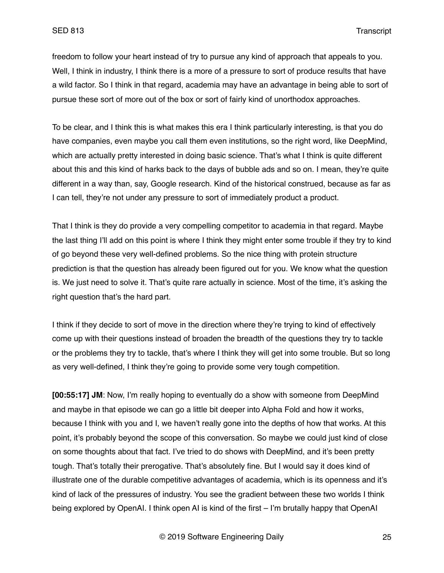freedom to follow your heart instead of try to pursue any kind of approach that appeals to you. Well, I think in industry, I think there is a more of a pressure to sort of produce results that have a wild factor. So I think in that regard, academia may have an advantage in being able to sort of pursue these sort of more out of the box or sort of fairly kind of unorthodox approaches.

To be clear, and I think this is what makes this era I think particularly interesting, is that you do have companies, even maybe you call them even institutions, so the right word, like DeepMind, which are actually pretty interested in doing basic science. That's what I think is quite different about this and this kind of harks back to the days of bubble ads and so on. I mean, they're quite different in a way than, say, Google research. Kind of the historical construed, because as far as I can tell, they're not under any pressure to sort of immediately product a product.

That I think is they do provide a very compelling competitor to academia in that regard. Maybe the last thing I'll add on this point is where I think they might enter some trouble if they try to kind of go beyond these very well-defined problems. So the nice thing with protein structure prediction is that the question has already been figured out for you. We know what the question is. We just need to solve it. That's quite rare actually in science. Most of the time, it's asking the right question that's the hard part.

I think if they decide to sort of move in the direction where they're trying to kind of effectively come up with their questions instead of broaden the breadth of the questions they try to tackle or the problems they try to tackle, that's where I think they will get into some trouble. But so long as very well-defined, I think they're going to provide some very tough competition.

**[00:55:17] JM**: Now, I'm really hoping to eventually do a show with someone from DeepMind and maybe in that episode we can go a little bit deeper into Alpha Fold and how it works, because I think with you and I, we haven't really gone into the depths of how that works. At this point, it's probably beyond the scope of this conversation. So maybe we could just kind of close on some thoughts about that fact. I've tried to do shows with DeepMind, and it's been pretty tough. That's totally their prerogative. That's absolutely fine. But I would say it does kind of illustrate one of the durable competitive advantages of academia, which is its openness and it's kind of lack of the pressures of industry. You see the gradient between these two worlds I think being explored by OpenAI. I think open AI is kind of the first – I'm brutally happy that OpenAI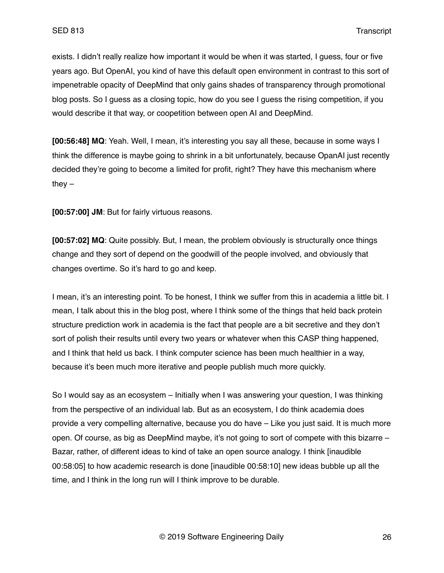exists. I didn't really realize how important it would be when it was started, I guess, four or five years ago. But OpenAI, you kind of have this default open environment in contrast to this sort of impenetrable opacity of DeepMind that only gains shades of transparency through promotional blog posts. So I guess as a closing topic, how do you see I guess the rising competition, if you would describe it that way, or coopetition between open AI and DeepMind.

**[00:56:48] MQ**: Yeah. Well, I mean, it's interesting you say all these, because in some ways I think the difference is maybe going to shrink in a bit unfortunately, because OpanAI just recently decided they're going to become a limited for profit, right? They have this mechanism where they  $-$ 

**[00:57:00] JM**: But for fairly virtuous reasons.

**[00:57:02] MQ**: Quite possibly. But, I mean, the problem obviously is structurally once things change and they sort of depend on the goodwill of the people involved, and obviously that changes overtime. So it's hard to go and keep.

I mean, it's an interesting point. To be honest, I think we suffer from this in academia a little bit. I mean, I talk about this in the blog post, where I think some of the things that held back protein structure prediction work in academia is the fact that people are a bit secretive and they don't sort of polish their results until every two years or whatever when this CASP thing happened, and I think that held us back. I think computer science has been much healthier in a way, because it's been much more iterative and people publish much more quickly.

So I would say as an ecosystem – Initially when I was answering your question, I was thinking from the perspective of an individual lab. But as an ecosystem, I do think academia does provide a very compelling alternative, because you do have – Like you just said. It is much more open. Of course, as big as DeepMind maybe, it's not going to sort of compete with this bizarre – Bazar, rather, of different ideas to kind of take an open source analogy. I think [inaudible 00:58:05] to how academic research is done [inaudible 00:58:10] new ideas bubble up all the time, and I think in the long run will I think improve to be durable.